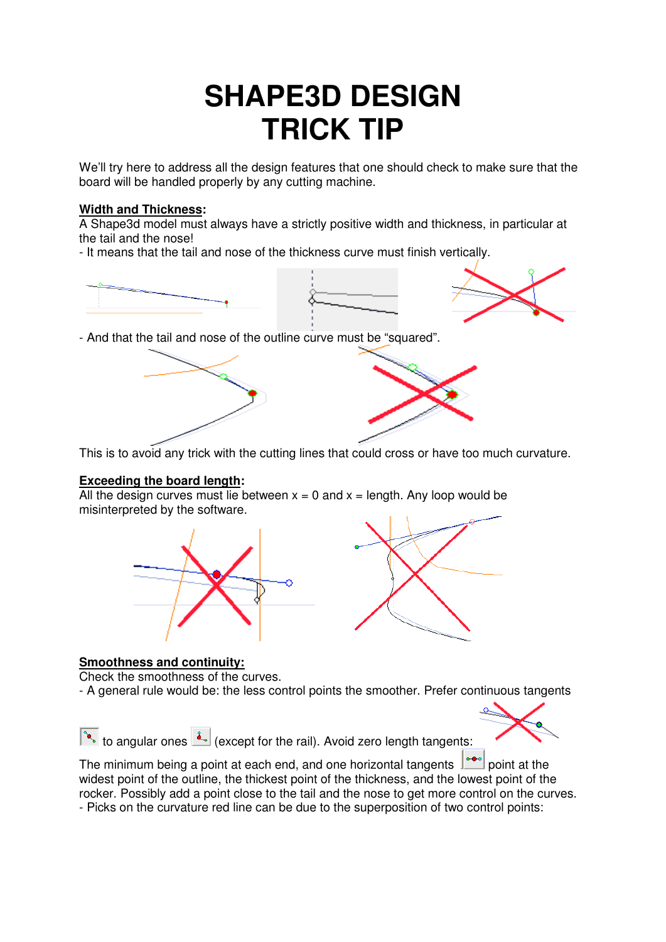# **SHAPE3D DESIGN TRICK TIP**

We'll try here to address all the design features that one should check to make sure that the board will be handled properly by any cutting machine.

## **Width and Thickness:**

A Shape3d model must always have a strictly positive width and thickness, in particular at the tail and the nose!

- It means that the tail and nose of the thickness curve must finish vertically.







- And that the tail and nose of the outline curve must be "squared".

 $\overline{a}$ This is to avoid any trick with the cutting lines that could cross or have too much curvature.

#### **Exceeding the board length:**

All the design curves must lie between  $x = 0$  and  $x =$  length. Any loop would be misinterpreted by the software.





# **Smoothness and continuity:**

Check the smoothness of the curves.

- A general rule would be: the less control points the smoother. Prefer continuous tangents



The minimum being a point at each end, and one horizontal tangents  $\left| \cdot \right|$  point at the widest point of the outline, the thickest point of the thickness, and the lowest point of the rocker. Possibly add a point close to the tail and the nose to get more control on the curves. - Picks on the curvature red line can be due to the superposition of two control points: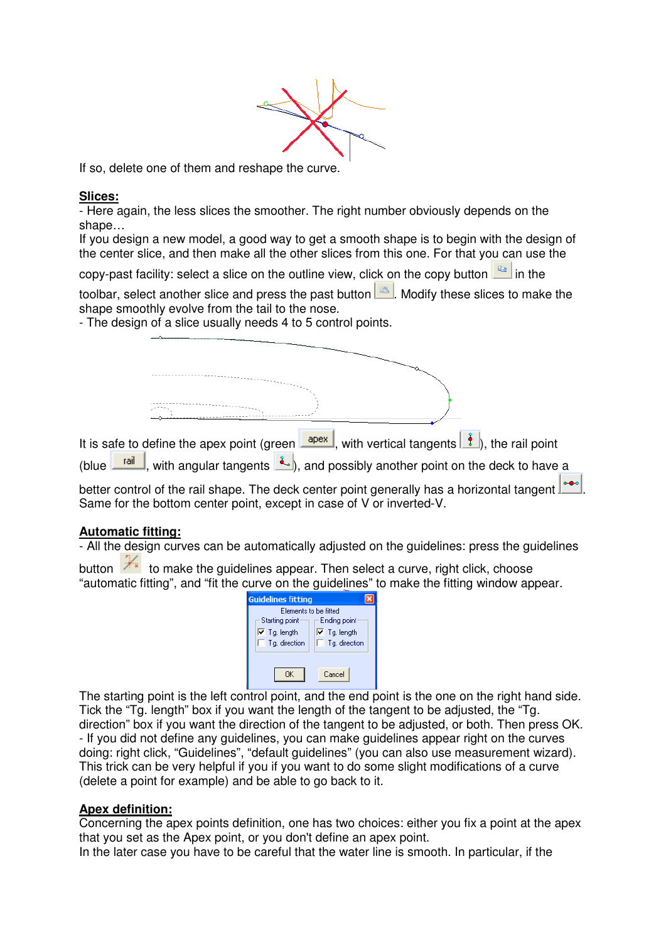

 $\overline{a}$ If so, delete one of them and reshape the curve.

#### **Slices:**

- Here again, the less slices the smoother. The right number obviously depends on the shape…

If you design a new model, a good way to get a smooth shape is to begin with the design of the center slice, and then make all the other slices from this one. For that you can use the

copy-past facility: select a slice on the outline view, click on the copy button  $\frac{12}{12}$  in the

toolbar, select another slice and press the past button  $\Box$ . Modify these slices to make the shape smoothly evolve from the tail to the nose.

- The design of a slice usually needs 4 to 5 control points.

| It is safe to define the apex point (green $\boxed{\frac{apex}{.}}$ , with vertical tangents $\boxed{\frac{a}{b}}$ ), the rail point                                                                                                 |
|--------------------------------------------------------------------------------------------------------------------------------------------------------------------------------------------------------------------------------------|
| (blue $\boxed{\text{tail}}$ , with angular tangents $\boxed{\cdot}$ ), and possibly another point on the deck to have a<br>$0 - 0 = 0$<br>better control of the rail shape. The deck center point generally has a horizontal tangent |
| Same for the bottom center point, except in case of V or inverted-V.                                                                                                                                                                 |

#### **Automatic fitting:**

- All the design curves can be automatically adjusted on the quidelines: press the quidelines

button to make the guidelines appear. Then select a curve, right click, choose "automatic fitting", and "fit the curve on the guidelines" to make the fitting window appear.



 $\overline{a}$ The starting point is the left control point, and the end point is the one on the right hand side. Tick the "Tg. length" box if you want the length of the tangent to be adjusted, the "Tg. direction" box if you want the direction of the tangent to be adjusted, or both. Then press OK. - If you did not define any guidelines, you can make guidelines appear right on the curves doing: right click, "Guidelines", "default guidelines" (you can also use measurement wizard). This trick can be very helpful if you if you want to do some slight modifications of a curve (delete a point for example) and be able to go back to it.

#### **Apex definition:**

Concerning the apex points definition, one has two choices: either you fix a point at the apex that you set as the Apex point, or you don't define an apex point.

In the later case you have to be careful that the water line is smooth. In particular, if the